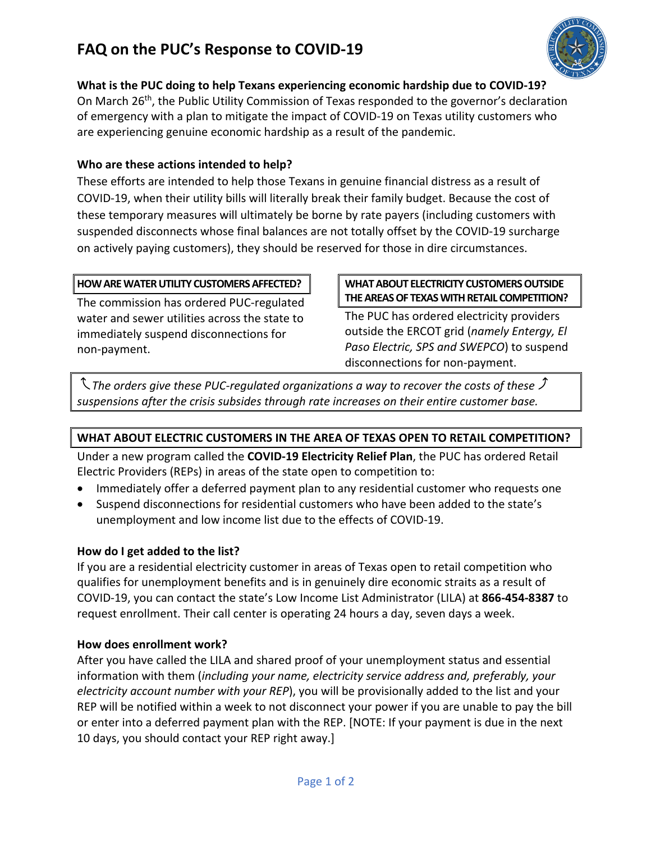# **FAQ on the PUC's Response to COVID-19**



**What is the PUC doing to help Texans experiencing economic hardship due to COVID-19?** On March 26<sup>th</sup>, the Public Utility Commission of Texas responded to the governor's declaration

of emergency with a plan to mitigate the impact of COVID-19 on Texas utility customers who are experiencing genuine economic hardship as a result of the pandemic.

# **Who are these actions intended to help?**

These efforts are intended to help those Texans in genuine financial distress as a result of COVID-19, when their utility bills will literally break their family budget. Because the cost of these temporary measures will ultimately be borne by rate payers (including customers with suspended disconnects whose final balances are not totally offset by the COVID-19 surcharge on actively paying customers), they should be reserved for those in dire circumstances.

## **HOW ARE WATER UTILITY CUSTOMERS AFFECTED?**

The commission has ordered PUC-regulated water and sewer utilities across the state to immediately suspend disconnections for non-payment.

### **WHAT ABOUT ELECTRICITY CUSTOMERS OUTSIDE THE AREAS OF TEXAS WITH RETAIL COMPETITION?**

The PUC has ordered electricity providers outside the ERCOT grid (*namely Entergy, El Paso Electric, SPS and SWEPCO*) to suspend disconnections for non-payment.

 $\mathcal I$  The orders give these PUC-regulated organizations a way to recover the costs of these  $\mathcal I$ *suspensions after the crisis subsides through rate increases on their entire customer base.*

# **WHAT ABOUT ELECTRIC CUSTOMERS IN THE AREA OF TEXAS OPEN TO RETAIL COMPETITION?**

Under a new program called the **COVID-19 Electricity Relief Plan**, the PUC has ordered Retail Electric Providers (REPs) in areas of the state open to competition to:

- Immediately offer a deferred payment plan to any residential customer who requests one
- Suspend disconnections for residential customers who have been added to the state's unemployment and low income list due to the effects of COVID-19.

## **How do I get added to the list?**

If you are a residential electricity customer in areas of Texas open to retail competition who qualifies for unemployment benefits and is in genuinely dire economic straits as a result of COVID-19, you can contact the state's Low Income List Administrator (LILA) at **866-454-8387** to request enrollment. Their call center is operating 24 hours a day, seven days a week.

## **How does enrollment work?**

After you have called the LILA and shared proof of your unemployment status and essential information with them (*including your name, electricity service address and, preferably, your electricity account number with your REP*), you will be provisionally added to the list and your REP will be notified within a week to not disconnect your power if you are unable to pay the bill or enter into a deferred payment plan with the REP. [NOTE: If your payment is due in the next 10 days, you should contact your REP right away.]